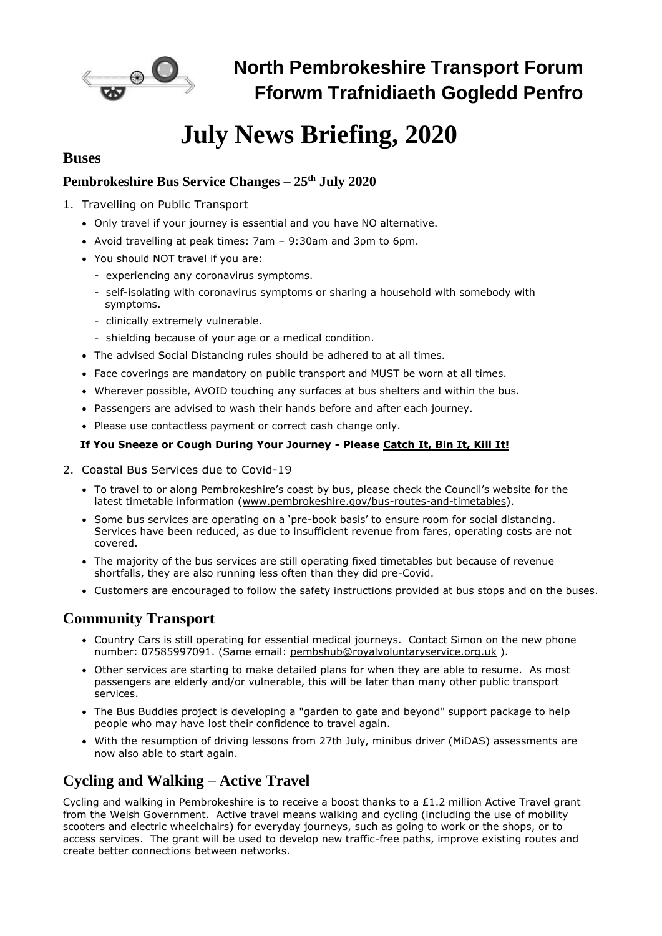

**North Pembrokeshire Transport Forum Fforwm Trafnidiaeth Gogledd Penfro**

# **July News Briefing, 2020**

## **Buses**

# **Pembrokeshire Bus Service Changes – 25th July 2020**

- 1. Travelling on Public Transport
	- Only travel if your journey is essential and you have NO alternative.
	- Avoid travelling at peak times: 7am 9:30am and 3pm to 6pm.
	- You should NOT travel if you are:
		- experiencing any coronavirus symptoms.
		- self-isolating with coronavirus symptoms or sharing a household with somebody with symptoms.
		- clinically extremely vulnerable.
		- shielding because of your age or a medical condition.
	- The advised Social Distancing rules should be adhered to at all times.
	- Face coverings are mandatory on public transport and MUST be worn at all times.
	- Wherever possible, AVOID touching any surfaces at bus shelters and within the bus.
	- Passengers are advised to wash their hands before and after each journey.
	- Please use contactless payment or correct cash change only.

#### **If You Sneeze or Cough During Your Journey - Please Catch It, Bin It, Kill It!**

- 2. Coastal Bus Services due to Covid-19
	- To travel to or along Pembrokeshire's coast by bus, please check the Council's website for the latest timetable information [\(www.pembrokeshire.gov/bus-routes-and-timetables\)](http://www.pembrokeshire.gov/bus-routes-and-timetables).
	- Some bus services are operating on a 'pre-book basis' to ensure room for social distancing. Services have been reduced, as due to insufficient revenue from fares, operating costs are not covered.
	- The majority of the bus services are still operating fixed timetables but because of revenue shortfalls, they are also running less often than they did pre-Covid.
	- Customers are encouraged to follow the safety instructions provided at bus stops and on the buses.

# **Community Transport**

- Country Cars is still operating for essential medical journeys. Contact Simon on the new phone number: 07585997091. (Same email: [pembshub@royalvoluntaryservice.org.uk](mailto:pembshub@royalvoluntaryservice.org.uk)).
- Other services are starting to make detailed plans for when they are able to resume. As most passengers are elderly and/or vulnerable, this will be later than many other public transport services.
- The Bus Buddies project is developing a "garden to gate and beyond" support package to help people who may have lost their confidence to travel again.
- With the resumption of driving lessons from 27th July, minibus driver (MiDAS) assessments are now also able to start again.

# **Cycling and Walking – Active Travel**

Cycling and walking in Pembrokeshire is to receive a boost thanks to a £1.2 million Active Travel grant from the Welsh Government. Active travel means walking and cycling (including the use of mobility scooters and electric wheelchairs) for everyday journeys, such as going to work or the shops, or to access services. The grant will be used to develop new traffic-free paths, improve existing routes and create better connections between networks.